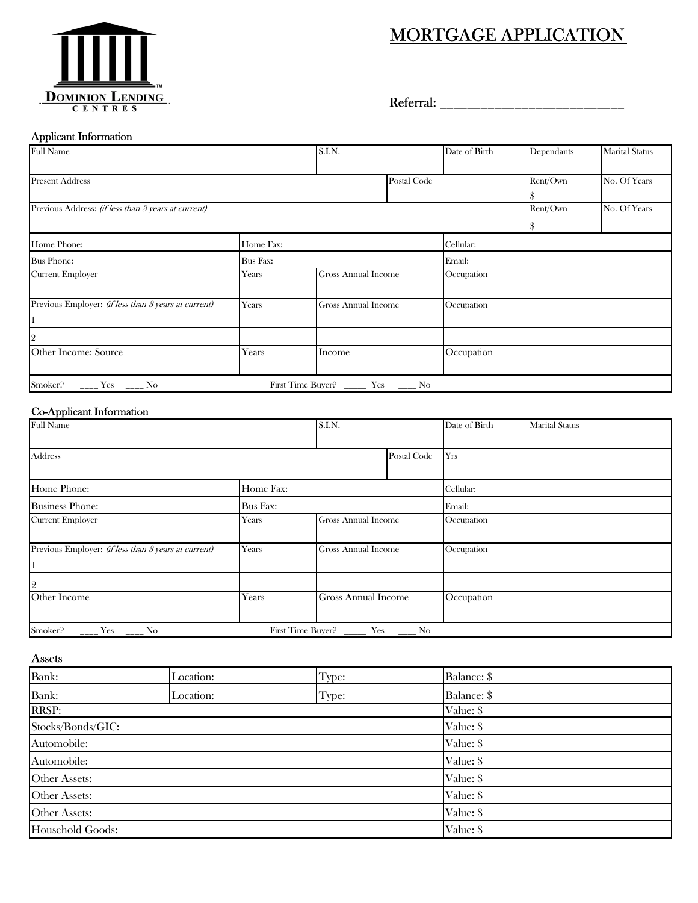# MORTGAGE APPLICATION



Referral: \_\_\_\_\_\_\_\_\_\_\_\_\_\_\_\_\_\_\_\_\_\_\_\_\_\_\_

### Applicant Information

| <b>Full Name</b>                                                                                                                                                                                                                                                                                                                                                                                                                 |           | S.I.N.                                  | Date of Birth | Dependants   | <b>Marital Status</b> |  |
|----------------------------------------------------------------------------------------------------------------------------------------------------------------------------------------------------------------------------------------------------------------------------------------------------------------------------------------------------------------------------------------------------------------------------------|-----------|-----------------------------------------|---------------|--------------|-----------------------|--|
| <b>Present Address</b>                                                                                                                                                                                                                                                                                                                                                                                                           |           | Postal Code                             | Rent/Own      | No. Of Years |                       |  |
| Previous Address: (if less than 3 years at current)                                                                                                                                                                                                                                                                                                                                                                              |           |                                         |               | Rent/Own     | No. Of Years          |  |
| Home Phone:                                                                                                                                                                                                                                                                                                                                                                                                                      | Home Fax: |                                         | Cellular:     |              |                       |  |
| <b>Bus Phone:</b>                                                                                                                                                                                                                                                                                                                                                                                                                | Bus Fax:  |                                         | Email:        |              |                       |  |
| <b>Current Employer</b>                                                                                                                                                                                                                                                                                                                                                                                                          | Years     | Gross Annual Income                     | Occupation    |              |                       |  |
| Previous Employer: (if less than 3 years at current)                                                                                                                                                                                                                                                                                                                                                                             | Years     | Gross Annual Income                     | Occupation    |              |                       |  |
| 2                                                                                                                                                                                                                                                                                                                                                                                                                                |           |                                         |               |              |                       |  |
| Other Income: Source                                                                                                                                                                                                                                                                                                                                                                                                             | Years     | Income                                  | Occupation    |              |                       |  |
| Smoker?<br>$\frac{1}{1-\frac{1}{1-\frac{1}{1-\frac{1}{1-\frac{1}{1-\frac{1}{1-\frac{1}{1-\frac{1}{1-\frac{1}{1-\frac{1}{1-\frac{1}{1-\frac{1}{1-\frac{1}{1-\frac{1}{1-\frac{1}{1-\frac{1}{1-\frac{1}{1-\frac{1}{1-\frac{1}{1-\frac{1}{1-\frac{1}{1-\frac{1}{1-\frac{1}{1-\frac{1}{1-\frac{1}{1-\frac{1}{1-\frac{1}{1-\frac{1}{1-\frac{1}{1-\frac{1}{1-\frac{1}{1-\frac{1}{1-\frac{1}{1-\frac{1}{1-\frac{1}{1-\frac{1}{1-\frac{1$ |           | First Time Buyer? _______ Yes ______ No |               |              |                       |  |

### Co-Applicant Information

| <b>Full Name</b>                                     |          | S.I.N.                                    |     | Date of Birth | <b>Marital Status</b> |
|------------------------------------------------------|----------|-------------------------------------------|-----|---------------|-----------------------|
| <b>Address</b>                                       |          | Postal Code                               | Yrs |               |                       |
| Home Phone:<br>Home Fax:                             |          |                                           |     | Cellular:     |                       |
| <b>Business Phone:</b>                               | Bus Fax: |                                           |     | Email:        |                       |
| <b>Current Employer</b>                              | Years    | <b>Gross Annual Income</b>                |     | Occupation    |                       |
| Previous Employer: (if less than 3 years at current) | Years    | <b>Gross Annual Income</b>                |     | Occupation    |                       |
| 2                                                    |          |                                           |     |               |                       |
| Other Income                                         | Years    | <b>Gross Annual Income</b>                |     | Occupation    |                       |
| Smoker?<br>$Yes$ $Xo$                                |          | First Time Buyer? ________ Yes _______ No |     |               |                       |

Assets

| Bank:             | Location: | Type:     | Balance: \$ |  |
|-------------------|-----------|-----------|-------------|--|
| Bank:             | Location: | Type:     | Balance: \$ |  |
| <b>RRSP:</b>      |           |           | Value: \$   |  |
| Stocks/Bonds/GIC: |           |           | Value: \$   |  |
| Automobile:       |           |           | Value: \$   |  |
| Automobile:       |           |           | Value: \$   |  |
| Other Assets:     |           |           | Value: \$   |  |
| Other Assets:     |           |           | Value: \$   |  |
| Other Assets:     |           | Value: \$ |             |  |
| Household Goods:  |           |           | Value: \$   |  |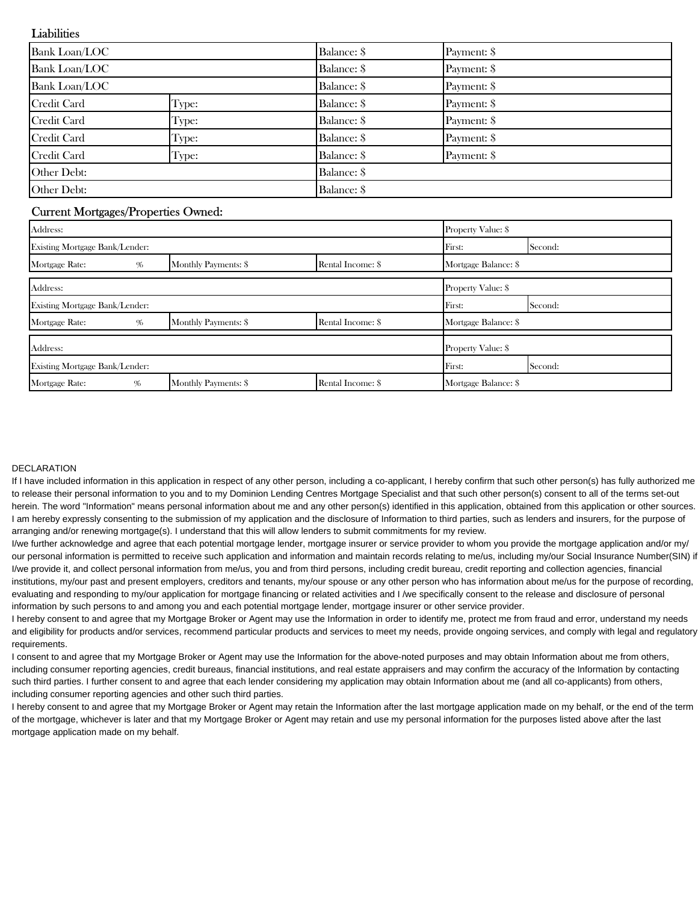### **Liabilities**

| <b>Bank Loan/LOC</b> |       | Balance: \$ | Payment: \$ |  |
|----------------------|-------|-------------|-------------|--|
| <b>Bank Loan/LOC</b> |       | Balance: \$ | Payment: \$ |  |
| <b>Bank Loan/LOC</b> |       | Balance: \$ | Payment: \$ |  |
| Credit Card          | Type: | Balance: \$ | Payment: \$ |  |
| Credit Card          | Type: | Balance: \$ | Payment: \$ |  |
| Credit Card          | Type: | Balance: \$ | Payment: \$ |  |
| Credit Card          | Type: | Balance: \$ | Payment: \$ |  |
| Other Debt:          |       | Balance: \$ |             |  |
| Other Debt:          |       | Balance: \$ |             |  |

## Current Mortgages/Properties Owned:

| Address:                       |   |                      |                   | <b>Property Value: \$</b> |  |  |
|--------------------------------|---|----------------------|-------------------|---------------------------|--|--|
| Existing Mortgage Bank/Lender: |   |                      | First:            | Second:                   |  |  |
| Mortgage Rate:                 | % | Monthly Payments: \$ | Rental Income: \$ | Mortgage Balance: \$      |  |  |
| Address:                       |   |                      |                   | Property Value: \$        |  |  |
| Existing Mortgage Bank/Lender: |   |                      | First:            | Second:                   |  |  |
| Mortgage Rate:                 | % | Monthly Payments: \$ | Rental Income: \$ | Mortgage Balance: \$      |  |  |
| Address:                       |   |                      |                   | Property Value: \$        |  |  |
| Existing Mortgage Bank/Lender: |   |                      | First:            | Second:                   |  |  |
| Mortgage Rate:                 | % | Monthly Payments: \$ | Rental Income: \$ | Mortgage Balance: \$      |  |  |

#### DECLARATION

If I have included information in this application in respect of any other person, including a co-applicant, I hereby confirm that such other person(s) has fully authorized me to release their personal information to you and to my Dominion Lending Centres Mortgage Specialist and that such other person(s) consent to all of the terms set-out herein. The word "Information" means personal information about me and any other person(s) identified in this application, obtained from this application or other sources. I am hereby expressly consenting to the submission of my application and the disclosure of Information to third parties, such as lenders and insurers, for the purpose of arranging and/or renewing mortgage(s). I understand that this will allow lenders to submit commitments for my review.

I/we further acknowledge and agree that each potential mortgage lender, mortgage insurer or service provider to whom you provide the mortgage application and/or my/ our personal information is permitted to receive such application and information and maintain records relating to me/us, including my/our Social Insurance Number(SIN) if I/we provide it, and collect personal information from me/us, you and from third persons, including credit bureau, credit reporting and collection agencies, financial institutions, my/our past and present employers, creditors and tenants, my/our spouse or any other person who has information about me/us for the purpose of recording. evaluating and responding to my/our application for mortgage financing or related activities and I /we specifically consent to the release and disclosure of personal information by such persons to and among you and each potential mortgage lender, mortgage insurer or other service provider.

I hereby consent to and agree that my Mortgage Broker or Agent may use the Information in order to identify me, protect me from fraud and error, understand my needs and eligibility for products and/or services, recommend particular products and services to meet my needs, provide ongoing services, and comply with legal and regulatory requirements.

I consent to and agree that my Mortgage Broker or Agent may use the Information for the above-noted purposes and may obtain Information about me from others, including consumer reporting agencies, credit bureaus, financial institutions, and real estate appraisers and may confirm the accuracy of the Information by contacting such third parties. I further consent to and agree that each lender considering my application may obtain Information about me (and all co-applicants) from others, including consumer reporting agencies and other such third parties.

I hereby consent to and agree that my Mortgage Broker or Agent may retain the Information after the last mortgage application made on my behalf, or the end of the term of the mortgage, whichever is later and that my Mortgage Broker or Agent may retain and use my personal information for the purposes listed above after the last mortgage application made on my behalf.